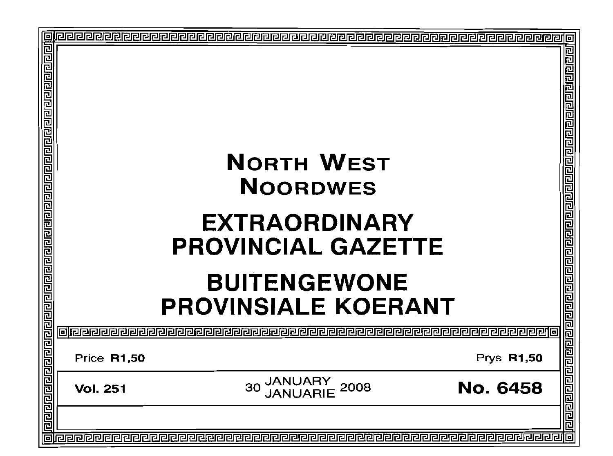|  | <b>NORTH WEST</b><br><b>NOORDWES</b><br><b>EXTRAORDINARY</b><br><b>PROVINCIAL GAZETTE</b><br><b>BUITENGEWONE</b><br><b>PROVINSIALE KOERANT</b> |                                           |                   |      |
|--|------------------------------------------------------------------------------------------------------------------------------------------------|-------------------------------------------|-------------------|------|
|  |                                                                                                                                                |                                           |                   | 厄    |
|  | Price R1,50                                                                                                                                    |                                           | <b>Prys R1,50</b> |      |
|  | <b>Vol. 251</b>                                                                                                                                | <b>JANUARY<br/>JANUARIE</b><br>30<br>2008 | <b>No. 6458</b>   |      |
|  |                                                                                                                                                |                                           |                   | 리리리리 |
|  |                                                                                                                                                |                                           |                   |      |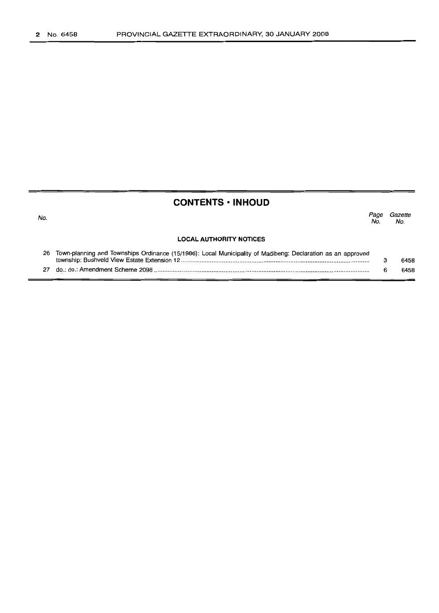## **CONTENTS· INHOUD**

| No. |                                                                                                             | No | Gazette<br>No. |
|-----|-------------------------------------------------------------------------------------------------------------|----|----------------|
|     | <b>LOCAL AUTHORITY NOTICES</b>                                                                              |    |                |
| 26  | Town-planning and Townships Ordinance (15/1986): Local Municipality of Madibeng: Declaration as an approved |    | 6458           |
|     |                                                                                                             |    | 6458           |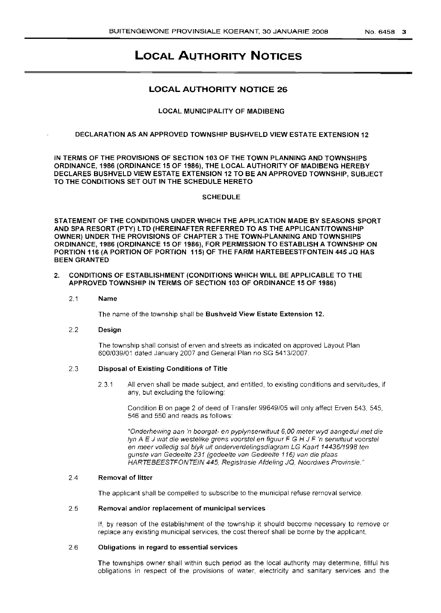# **LOCAL AUTHORITY NOTICES**

## **LOCAL AUTHORITY NOTICE 26**

#### LOCAL MUNICIPALITY OF MADIBENG

#### DECLARATION AS AN APPROVED TOWNSHIP BUSHVELD VIEW ESTATE EXTENSION 12

IN TERMS OF THE PROVISIONS OF SECTION 103 OF THE TOWN PLANNING AND TOWNSHIPS ORDINANCE, 1986 (ORDINANCE 15 OF 1986), THE LOCAL AUTHORITY OF MADIBENG HEREBY DECLARES BUSHVELD VIEW ESTATE EXTENSION 12 TO BE AN APPROVED TOWNSHIP, SUBJECT TO THE CONDITIONS SET OUT IN THE SCHEDULE HERETO

#### **SCHEDULE**

STATEMENT OF THE CONDITIONS UNDER WHICH THE APPLICATION MADE BY SEASONS SPORT AND SPA RESORT (PTY) LTD (HEREINAFTER REFERRED TO AS THE APPLICANTITOWNSHIP OWNER) UNDER THE PROVISIONS OF CHAPTER 3 THE TOWN-PLANNING AND TOWNSHIPS ORDINANCE, 1986 (ORDINANCE 15 OF 1986), FOR PERMISSION TO ESTABLISH A TOWNSHIP ON PORTION 116 (A PORTION OF PORTION 115) OF THE FARM HARTEBEESTFONTEIN 445 JQ HAS BEEN GRANTED

#### 2. CONDITIONS OF ESTABLISHMENT (CONDITIONS WHICH WILL BE APPLICABLE TO THE APPROVED TOWNSHIP IN TERMS OF SECTION 103 OF ORDINANCE 15 OF 1986)

2.1 Name

The name of the township shall be Bushveld View Estate Extension 12.

#### 2.2 Design

The township shall consist of erven and streets as indicated on approved Layout Plan 600/039101 dated January 2007 and General Plan no SG 5413/2007.

### 23 Disposal of Existing Conditions of Title

2.31 All erven shall be made subject, and entitled, to existing conditions and servitudes, if any, but excluding the following:

> Condition B on page 2 of deed of Transfer 99649/05 will only affect Erven 543, 545, 546 and 550 and reads as follows:

> "Onderhewing aan 'n boorgat- en pyplynserwituut 6,00 meter wyd aangedui met die Iyn A E J wat die westelike grens voorstel en figuur F G H J F 'n serwituut voorstel en meer volledig sal b/yk uit onderverdelingsdiagram LG Kaart 14436/1998 ten gunste van Gedeelte 231 (gedeelte van Gedee/te 116) van die plaas HARTEBEESTFONTEIN 445, Registrasie Afdeling JQ, Noordwes Provinsie. "

## 2.4 Removal of litter

The applicant shall be compelled to subscribe to the municipal refuse removal service.

#### 2.5 Removal and/or replacement of municipal services

If, by reason of the establishment of the township it should become necessary to remove or replace any existing municipal services, the cost thereof shall be borne by the applicant.

#### 2.6 Obligations in regard to essential services

The townships owner shall within such period as the local authority may determine, fillful his obligations in respect of the provisions of water, electricity and sanitary services and the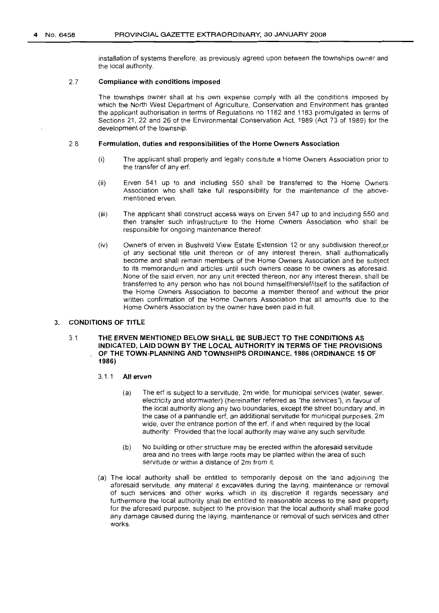installation of systems therefore, as previously agreed upon between the townships owner and the local authority.

#### 2.7 **Compliance with conditions imposed**

The townships owner shall at his own expense comply with all the conditions imposed by which the North West Department of Agriculture, Conservation and Environment has granted the applicant authorisation in terms of Regulations no 1182 and 1183 promulgated in terms of Sections 21, 22 and 26 of the Environmental Conservation Act, 1989 (Act 73 of 1989) for the development of the township.

#### 2.8 **Formulation, duties and responsibilities of the Home Owners Association**

- (i) The applicant shall properly and legally consitute a Home Owners Association prior to the transfer of any erf.
- (ii) Erven 541 up to and including 550 shall be transferred to the Home Owners Association who shall take full responsibility for the maintenance of the abovementioned erven.
- (iii) The applicant shall construct access ways on Erven 547 up to and including 550 and then transfer such infrastructure to the Home Owners Association who shall be responsible for ongoing maintenance thereof.
- (iv) Owners of erven in Bushveld View Estate Extension 12 or any subdivision thereof,or of any sectional title unit thereon or of any interest therein, shall authomatically become and shall remain members of the Home Owners Association and be subject to its memorandum and articles until such owners cease to be owners as aforesaid. .None of the said erven, nor any unit erected thereon, nor any interest therein, shall be transferred to any person who has not bound himselflherslef/itself to the satifaction of the Home Owners Association to become a member thereof and without the prior written confirmation of the Home Owners Association that all amounts due to the Home Owners Association by the owner have been paid in full.

## 3. **CONDITIONS OF TITLE**

#### 3.1 **THE ERVEN MENTIONED BELOW SHALL BE SUBJECT TO THE CONDITIONS AS INDICATED, LAID DOWN BY THE LOCAL AUTHORITY IN TERMS OF THE PROVISIONS OF THE TOWN-PLANNING AND TOWNSHIPS ORDINANCE, 1986 (ORDINANCE 15 OF 1986)**

#### 3.1.1 **All erven**

- (a) The erf is subject to a servitude, 2m wide, for municipal services (water, sewer, electricity and stormwater) (hereinafter referred as "the services'), in favour of the local authority along any two boundaries, except the street boundary and, in the case of a panhandle erf, an additional servitude for municipal purposes, 2m wide, over the entrance portion of the erf, if and when required by the local authority: Provided that the local authority may waive any such servitude.
- (b) No building or other structure may be erected within the aforesaid servitude area and no trees with large roots may be planted within the area of such servitude or within a distance of 2m from it.
- (a) The local authority shall be entitled to temporarily deposit on the land adjoining the aforesaid servitude, any material it excavates during the laying, maintenance or removal of such services and other works which in its discretion it regards necessary and furthermore the local authority shall be entitled to reasonable access to the said property for the aforesaid purpose, subject to the provision that the local authority shall make good any damage caused during the laying, maintenance or removal of such services and other works.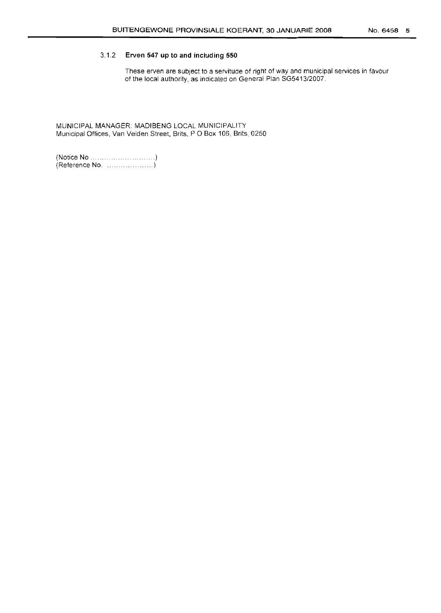## 3.1.2 **Erven 547 up to and including 550**

These erven are subject to a servitude of right of way and municipal services in favour of the local authority, as indicated on General Plan SG5413/2007.

MUNICIPAL MANAGER: MADIBENG LOCAL MUNICIPALITY Municipal Offices, Van Velden Street, Brits, POBox 106, Brits, 0250

(Notice No . ......................) (Reference No. . )